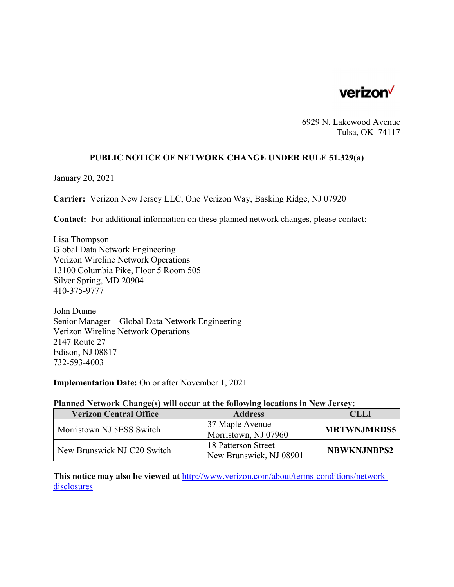

6929 N. Lakewood Avenue Tulsa, OK 74117

# **PUBLIC NOTICE OF NETWORK CHANGE UNDER RULE 51.329(a)**

January 20, 2021

**Carrier:** Verizon New Jersey LLC, One Verizon Way, Basking Ridge, NJ 07920

**Contact:** For additional information on these planned network changes, please contact:

Lisa Thompson Global Data Network Engineering Verizon Wireline Network Operations 13100 Columbia Pike, Floor 5 Room 505 Silver Spring, MD 20904 410-375-9777

John Dunne Senior Manager – Global Data Network Engineering Verizon Wireline Network Operations 2147 Route 27 Edison, NJ 08817 732-593-4003

**Implementation Date:** On or after November 1, 2021

#### **Planned Network Change(s) will occur at the following locations in New Jersey:**

| <b>Verizon Central Office</b> | <b>Address</b>          | <b>CLLI</b>        |
|-------------------------------|-------------------------|--------------------|
| Morristown NJ 5ESS Switch     | 37 Maple Avenue         | <b>MRTWNJMRDS5</b> |
|                               | Morristown, NJ 07960    |                    |
| New Brunswick NJ C20 Switch   | 18 Patterson Street     | <b>NBWKNJNBPS2</b> |
|                               | New Brunswick, NJ 08901 |                    |

**This notice may also be viewed at** http://www.verizon.com/about/terms-conditions/networkdisclosures